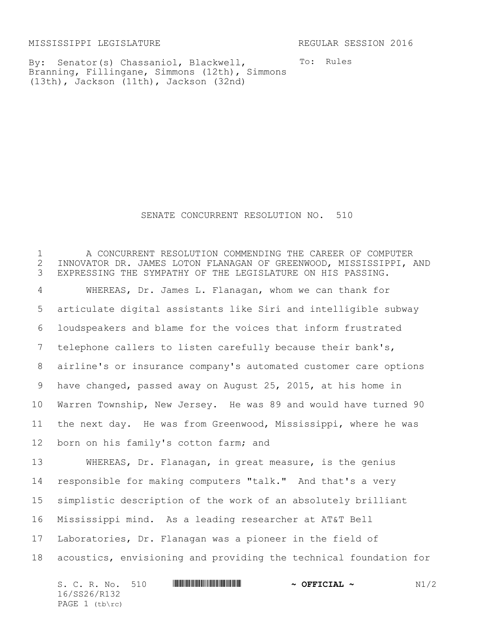MISSISSIPPI LEGISLATURE REGULAR SESSION 2016

To: Rules

By: Senator(s) Chassaniol, Blackwell, Branning, Fillingane, Simmons (12th), Simmons (13th), Jackson (11th), Jackson (32nd)

SENATE CONCURRENT RESOLUTION NO. 510

1 THE CONCURRENT RESOLUTION COMMENDING THE CAREER OF COMPUTER<br>2 TINNOVATOR DR. JAMES LOTON FLANAGAN OF GREENWOOD, MISSISSIPPI, 2 2 INNOVATOR DR. JAMES LOTON FLANAGAN OF GREENWOOD, MISSISSIPPI, AND<br>3 EXPRESSING THE SYMPATHY OF THE LEGISLATURE ON HIS PASSING. EXPRESSING THE SYMPATHY OF THE LEGISLATURE ON HIS PASSING. WHEREAS, Dr. James L. Flanagan, whom we can thank for articulate digital assistants like Siri and intelligible subway loudspeakers and blame for the voices that inform frustrated telephone callers to listen carefully because their bank's, airline's or insurance company's automated customer care options have changed, passed away on August 25, 2015, at his home in Warren Township, New Jersey. He was 89 and would have turned 90 the next day. He was from Greenwood, Mississippi, where he was born on his family's cotton farm; and WHEREAS, Dr. Flanagan, in great measure, is the genius responsible for making computers "talk." And that's a very simplistic description of the work of an absolutely brilliant Mississippi mind. As a leading researcher at AT&T Bell Laboratories, Dr. Flanagan was a pioneer in the field of acoustics, envisioning and providing the technical foundation for

 $S. C. R. No. 510$  **\*Social \*\*\***  $\sim$  **OFFICIAL ~**  $N1/2$ 16/SS26/R132 PAGE  $1$  (tb\rc)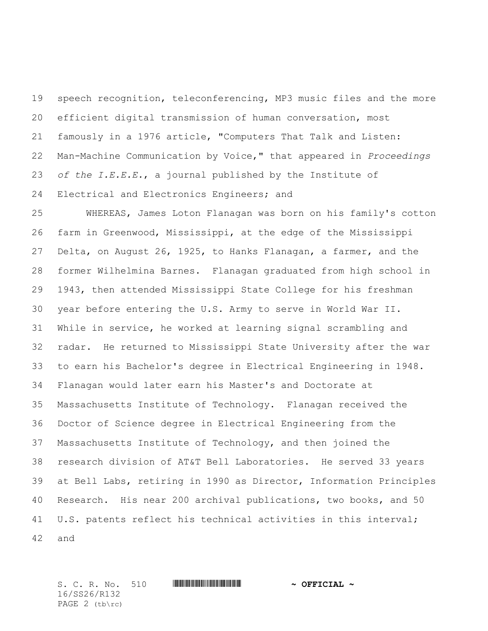speech recognition, teleconferencing, MP3 music files and the more efficient digital transmission of human conversation, most famously in a 1976 article, "Computers That Talk and Listen: Man-Machine Communication by Voice," that appeared in *Proceedings of the I.E.E.E.*, a journal published by the Institute of Electrical and Electronics Engineers; and

 WHEREAS, James Loton Flanagan was born on his family's cotton farm in Greenwood, Mississippi, at the edge of the Mississippi Delta, on August 26, 1925, to Hanks Flanagan, a farmer, and the former Wilhelmina Barnes. Flanagan graduated from high school in 1943, then attended Mississippi State College for his freshman year before entering the U.S. Army to serve in World War II. While in service, he worked at learning signal scrambling and radar. He returned to Mississippi State University after the war to earn his Bachelor's degree in Electrical Engineering in 1948. Flanagan would later earn his Master's and Doctorate at Massachusetts Institute of Technology. Flanagan received the Doctor of Science degree in Electrical Engineering from the Massachusetts Institute of Technology, and then joined the research division of AT&T Bell Laboratories. He served 33 years at Bell Labs, retiring in 1990 as Director, Information Principles Research. His near 200 archival publications, two books, and 50 U.S. patents reflect his technical activities in this interval; and

 $S. C. R. No. 510$  **WITH THE TERM**  $\sim$  OFFICIAL  $\sim$ 16/SS26/R132 PAGE 2 (tb\rc)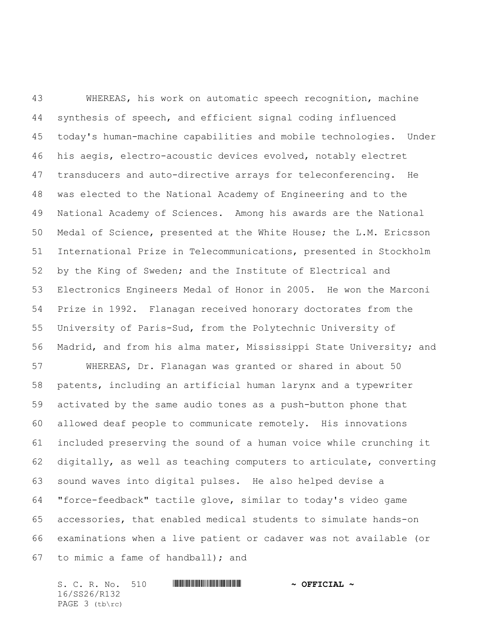WHEREAS, his work on automatic speech recognition, machine synthesis of speech, and efficient signal coding influenced today's human-machine capabilities and mobile technologies. Under his aegis, electro-acoustic devices evolved, notably electret transducers and auto-directive arrays for teleconferencing. He was elected to the National Academy of Engineering and to the National Academy of Sciences. Among his awards are the National Medal of Science, presented at the White House; the L.M. Ericsson International Prize in Telecommunications, presented in Stockholm by the King of Sweden; and the Institute of Electrical and Electronics Engineers Medal of Honor in 2005. He won the Marconi Prize in 1992. Flanagan received honorary doctorates from the University of Paris-Sud, from the Polytechnic University of Madrid, and from his alma mater, Mississippi State University; and WHEREAS, Dr. Flanagan was granted or shared in about 50 patents, including an artificial human larynx and a typewriter activated by the same audio tones as a push-button phone that allowed deaf people to communicate remotely. His innovations included preserving the sound of a human voice while crunching it digitally, as well as teaching computers to articulate, converting sound waves into digital pulses. He also helped devise a "force-feedback" tactile glove, similar to today's video game accessories, that enabled medical students to simulate hands-on examinations when a live patient or cadaver was not available (or to mimic a fame of handball); and

S. C. R. No. 510 **WILL AND A SEPT OF PROPERTION** 16/SS26/R132 PAGE 3 (tb\rc)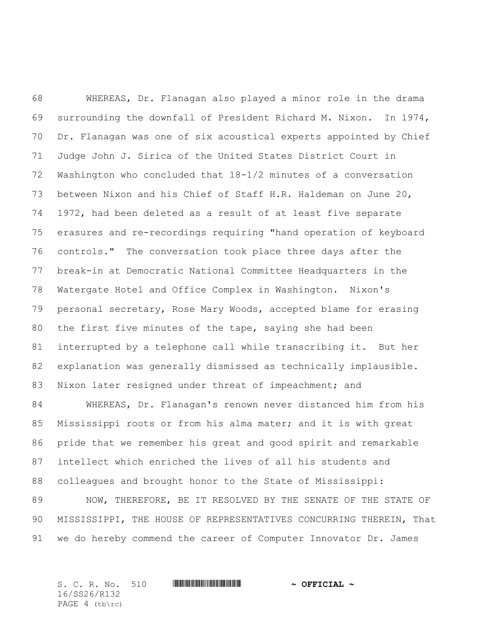WHEREAS, Dr. Flanagan also played a minor role in the drama surrounding the downfall of President Richard M. Nixon. In 1974, Dr. Flanagan was one of six acoustical experts appointed by Chief Judge John J. Sirica of the United States District Court in Washington who concluded that 18-1/2 minutes of a conversation between Nixon and his Chief of Staff H.R. Haldeman on June 20, 1972, had been deleted as a result of at least five separate erasures and re-recordings requiring "hand operation of keyboard controls." The conversation took place three days after the break-in at Democratic National Committee Headquarters in the Watergate Hotel and Office Complex in Washington. Nixon's personal secretary, Rose Mary Woods, accepted blame for erasing the first five minutes of the tape, saying she had been interrupted by a telephone call while transcribing it. But her explanation was generally dismissed as technically implausible. 83 Nixon later resigned under threat of impeachment; and

 WHEREAS, Dr. Flanagan's renown never distanced him from his Mississippi roots or from his alma mater; and it is with great pride that we remember his great and good spirit and remarkable intellect which enriched the lives of all his students and colleagues and brought honor to the State of Mississippi: NOW, THEREFORE, BE IT RESOLVED BY THE SENATE OF THE STATE OF MISSISSIPPI, THE HOUSE OF REPRESENTATIVES CONCURRING THEREIN, That

we do hereby commend the career of Computer Innovator Dr. James

|  | S. C. R. No. 510 |  | $\sim$ OFFICIAL $\sim$ |  |
|--|------------------|--|------------------------|--|
|  | 16/SS26/R132     |  |                        |  |
|  | PAGE $4$ (tb\rc) |  |                        |  |